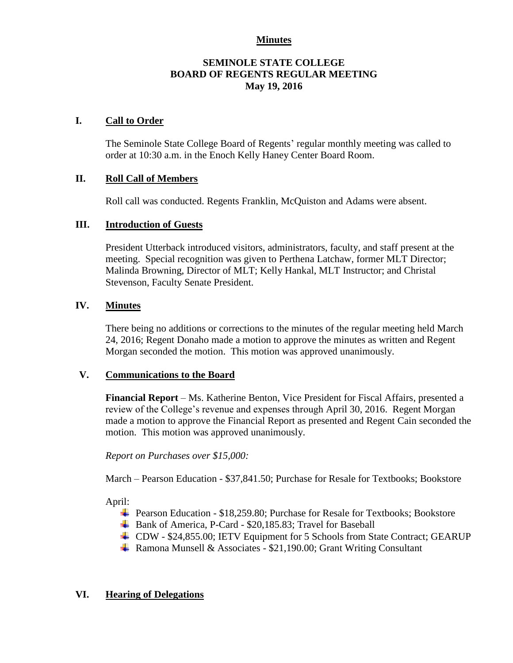## **Minutes**

## **SEMINOLE STATE COLLEGE BOARD OF REGENTS REGULAR MEETING May 19, 2016**

### **I. Call to Order**

The Seminole State College Board of Regents' regular monthly meeting was called to order at 10:30 a.m. in the Enoch Kelly Haney Center Board Room.

## **II. Roll Call of Members**

Roll call was conducted. Regents Franklin, McQuiston and Adams were absent.

## **III. Introduction of Guests**

President Utterback introduced visitors, administrators, faculty, and staff present at the meeting. Special recognition was given to Perthena Latchaw, former MLT Director; Malinda Browning, Director of MLT; Kelly Hankal, MLT Instructor; and Christal Stevenson, Faculty Senate President.

# **IV. Minutes**

There being no additions or corrections to the minutes of the regular meeting held March 24, 2016; Regent Donaho made a motion to approve the minutes as written and Regent Morgan seconded the motion. This motion was approved unanimously.

#### **V. Communications to the Board**

**Financial Report** – Ms. Katherine Benton, Vice President for Fiscal Affairs, presented a review of the College's revenue and expenses through April 30, 2016. Regent Morgan made a motion to approve the Financial Report as presented and Regent Cain seconded the motion. This motion was approved unanimously.

*Report on Purchases over \$15,000:*

March – Pearson Education - \$37,841.50; Purchase for Resale for Textbooks; Bookstore

April:

- Pearson Education \$18,259.80; Purchase for Resale for Textbooks; Bookstore
- ↓ Bank of America, P-Card \$20,185.83; Travel for Baseball
- CDW \$24,855.00; IETV Equipment for 5 Schools from State Contract; GEARUP
- $\overline{\text{4}}$  Ramona Munsell & Associates \$21,190.00; Grant Writing Consultant

# **VI. Hearing of Delegations**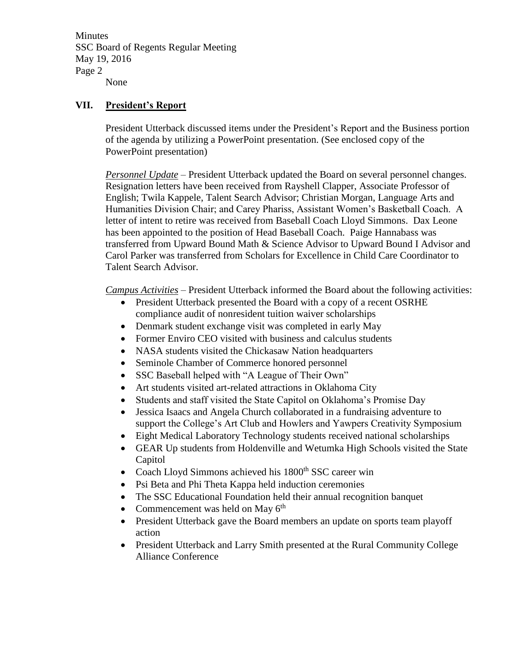**Minutes** SSC Board of Regents Regular Meeting May 19, 2016 Page 2 None

## **VII. President's Report**

President Utterback discussed items under the President's Report and the Business portion of the agenda by utilizing a PowerPoint presentation. (See enclosed copy of the PowerPoint presentation)

*Personnel Update* – President Utterback updated the Board on several personnel changes. Resignation letters have been received from Rayshell Clapper, Associate Professor of English; Twila Kappele, Talent Search Advisor; Christian Morgan, Language Arts and Humanities Division Chair; and Carey Phariss, Assistant Women's Basketball Coach. A letter of intent to retire was received from Baseball Coach Lloyd Simmons. Dax Leone has been appointed to the position of Head Baseball Coach. Paige Hannabass was transferred from Upward Bound Math & Science Advisor to Upward Bound I Advisor and Carol Parker was transferred from Scholars for Excellence in Child Care Coordinator to Talent Search Advisor.

*Campus Activities* – President Utterback informed the Board about the following activities:

- President Utterback presented the Board with a copy of a recent OSRHE compliance audit of nonresident tuition waiver scholarships
- Denmark student exchange visit was completed in early May
- Former Enviro CEO visited with business and calculus students
- NASA students visited the Chickasaw Nation headquarters
- Seminole Chamber of Commerce honored personnel
- SSC Baseball helped with "A League of Their Own"
- Art students visited art-related attractions in Oklahoma City
- Students and staff visited the State Capitol on Oklahoma's Promise Day
- Jessica Isaacs and Angela Church collaborated in a fundraising adventure to support the College's Art Club and Howlers and Yawpers Creativity Symposium
- Eight Medical Laboratory Technology students received national scholarships
- GEAR Up students from Holdenville and Wetumka High Schools visited the State Capitol
- Coach Lloyd Simmons achieved his  $1800<sup>th</sup>$  SSC career win
- Psi Beta and Phi Theta Kappa held induction ceremonies
- The SSC Educational Foundation held their annual recognition banquet
- Commencement was held on May  $6<sup>th</sup>$
- President Utterback gave the Board members an update on sports team playoff action
- President Utterback and Larry Smith presented at the Rural Community College Alliance Conference